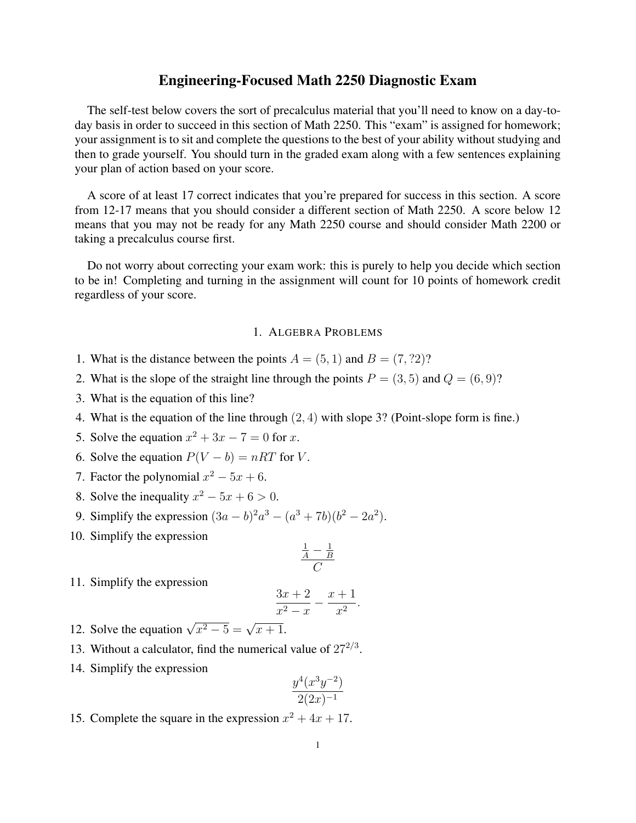## Engineering-Focused Math 2250 Diagnostic Exam

The self-test below covers the sort of precalculus material that you'll need to know on a day-today basis in order to succeed in this section of Math 2250. This "exam" is assigned for homework; your assignment is to sit and complete the questions to the best of your ability without studying and then to grade yourself. You should turn in the graded exam along with a few sentences explaining your plan of action based on your score.

A score of at least 17 correct indicates that you're prepared for success in this section. A score from 12-17 means that you should consider a different section of Math 2250. A score below 12 means that you may not be ready for any Math 2250 course and should consider Math 2200 or taking a precalculus course first.

Do not worry about correcting your exam work: this is purely to help you decide which section to be in! Completing and turning in the assignment will count for 10 points of homework credit regardless of your score.

## 1. ALGEBRA PROBLEMS

- 1. What is the distance between the points  $A = (5, 1)$  and  $B = (7, ?2)$ ?
- 2. What is the slope of the straight line through the points  $P = (3, 5)$  and  $Q = (6, 9)$ ?
- 3. What is the equation of this line?
- 4. What is the equation of the line through (2, 4) with slope 3? (Point-slope form is fine.)
- 5. Solve the equation  $x^2 + 3x 7 = 0$  for x.
- 6. Solve the equation  $P(V b) = nRT$  for V.
- 7. Factor the polynomial  $x^2 5x + 6$ .
- 8. Solve the inequality  $x^2 5x + 6 > 0$ .
- 9. Simplify the expression  $(3a b)^2 a^3 (a^3 + 7b)(b^2 2a^2)$ .
- 10. Simplify the expression

$$
\frac{\frac{1}{A} - \frac{1}{B}}{C}
$$

11. Simplify the expression

$$
\frac{3x+2}{x^2-x} - \frac{x+1}{x^2}.
$$

- 12. Solve the equation  $\sqrt{x^2 5} = \sqrt{x + 1}$ .
- 13. Without a calculator, find the numerical value of  $27^{2/3}$ .
- 14. Simplify the expression

$$
\frac{y^4(x^3y^{-2})}{2(2x)^{-1}}
$$

15. Complete the square in the expression  $x^2 + 4x + 17$ .